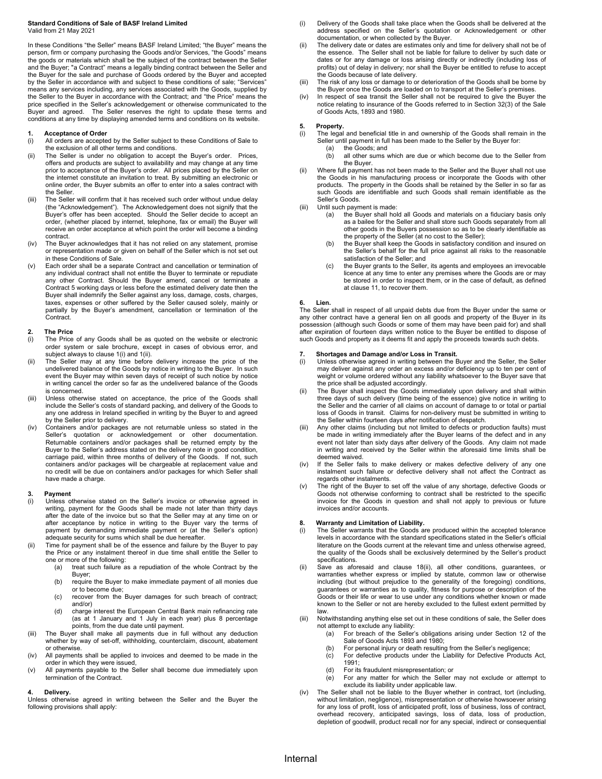#### **Standard Conditions of Sale of BASF Ireland Limited** Valid from 21 May 2021

In these Conditions "the Seller" means BASF Ireland Limited; "the Buyer" means the person, firm or company purchasing the Goods and/or Services, "the Goods" means the goods or materials which shall be the subject of the contract between the Seller and the Buyer; "a Contract" means a legally binding contract between the Seller and the Buyer for the sale and purchase of Goods ordered by the Buyer and accepted by the Seller in accordance with and subject to these conditions of sale; "Services" means any services including, any services associated with the Goods, supplied by the Seller to the Buyer in accordance with the Contract; and "the Price" means the price specified in the Seller's acknowledgement or otherwise communicated to the Buyer and agreed. The Seller reserves the right to update these terms and conditions at any time by displaying amended terms and conditions on its website.

## **1. Acceptance of Order**

- All orders are accepted by the Seller subject to these Conditions of Sale to the exclusion of all other terms and conditions.
- (ii) The Seller is under no obligation to accept the Buyer's order. Prices, offers and products are subject to availability and may change at any time prior to acceptance of the Buyer's order. All prices placed by the Seller on the internet constitute an invitation to treat. By submitting an electronic or online order, the Buyer submits an offer to enter into a sales contract with the Seller.
- (iii) The Seller will confirm that it has received such order without undue delay (the "Acknowledgement"). The Acknowledgement does not signify that the Buyer's offer has been accepted. Should the Seller decide to accept an order, (whether placed by internet, telephone, fax or email) the Buyer will receive an order acceptance at which point the order will become a binding contract.
- (iv) The Buyer acknowledges that it has not relied on any statement, promise or representation made or given on behalf of the Seller which is not set out in these Conditions of Sale.
- (v) Each order shall be a separate Contract and cancellation or termination of any individual contract shall not entitle the Buyer to terminate or repudiate any other Contract. Should the Buyer amend, cancel or terminate a Contract 5 working days or less before the estimated delivery date then the Buyer shall indemnify the Seller against any loss, damage, costs, charges, taxes, expenses or other suffered by the Seller caused solely, mainly or partially by the Buyer's amendment, cancellation or termination of the .<br>Contract.

# **2. The Price**

- The Price of any Goods shall be as quoted on the website or electronic order system or sale brochure, except in cases of obvious error, and subject always to clause 1(i) and 1(ii).
- (ii) The Seller may at any time before delivery increase the price of the undelivered balance of the Goods by notice in writing to the Buyer. In such event the Buyer may within seven days of receipt of such notice by notice in writing cancel the order so far as the undelivered balance of the Goods is concerned.
- (iii) Unless otherwise stated on acceptance, the price of the Goods shall include the Seller's costs of standard packing, and delivery of the Goods to any one address in Ireland specified in writing by the Buyer to and agreed by the Seller prior to delivery.
- (iv) Containers and/or packages are not returnable unless so stated in the Seller's quotation or acknowledgement or other documentation. Returnable containers and/or packages shall be returned empty by the Buyer to the Seller's address stated on the delivery note in good condition, carriage paid, within three months of delivery of the Goods. If not, such containers and/or packages will be chargeable at replacement value and no credit will be due on containers and/or packages for which Seller shall have made a charge.

#### **3. Payment**

- Unless otherwise stated on the Seller's invoice or otherwise agreed in writing, payment for the Goods shall be made not later than thirty days after the date of the invoice but so that the Seller may at any time on or after acceptance by notice in writing to the Buyer vary the terms of payment by demanding immediate payment or (at the Seller's option) adequate security for sums which shall be due hereafter.
- Time for payment shall be of the essence and failure by the Buyer to pay the Price or any instalment thereof in due time shall entitle the Seller to
	- one or more of the following:<br>(a) treat such failure a treat such failure as a repudiation of the whole Contract by the Buyer;
		- (b) require the Buyer to make immediate payment of all monies due or to become due;
		- (c) recover from the Buyer damages for such breach of contract; and/or)
		- (d) charge interest the European Central Bank main refinancing rate (as at 1 January and 1 July in each year) plus 8 percentage points, from the due date until payment.
- (iii) The Buyer shall make all payments due in full without any deduction whether by way of set-off, withholding, counterclaim, discount, abatement or otherwise.
- (iv) All payments shall be applied to invoices and deemed to be made in the order in which they were issued,
- (v) All payments payable to the Seller shall become due immediately upon termination of the Contract.

### **4. Delivery.**

Unless otherwise agreed in writing between the Seller and the Buyer the following provisions shall apply:

- (i) Delivery of the Goods shall take place when the Goods shall be delivered at the address specified on the Seller's quotation or Acknowledgement or other
- documentation, or when collected by the Buyer. (ii) The delivery date or dates are estimates only and time for delivery shall not be of the essence. The Seller shall not be liable for failure to deliver by such date or dates or for any damage or loss arising directly or indirectly (including loss of profits) out of delay in delivery; nor shall the Buyer be entitled to refuse to accept the Goods because of late delivery.
- (iii) The risk of any loss or damage to or deterioration of the Goods shall be borne by<br>the Buyer once the Goods are loaded on to transport at the Seller's premises.<br>(iv) In respect of sea transit the Seller shall not be r
- notice relating to insurance of the Goods referred to in Section 32(3) of the Sale of Goods Acts, 1893 and 1980.

- **5. Property.**<br>(i) The legal and beneficial title in and ownership of the Goods shall remain in the<br>Seller until payment in full has been made to the Seller by the Buyer for:
	- (a) the Goods; and<br>(b) all other sums \
	- all other sums which are due or which become due to the Seller from the Buyer.
- Where full payment has not been made to the Seller and the Buyer shall not use the Goods in his manufacturing process or incorporate the Goods with other products. The property in the Goods shall be retained by the Seller in so far as such Goods are identifiable and such Goods shall remain identifiable as the Seller's Goods.
- (iii) Until such payment is made:
	- (a) the Buyer shall hold all Goods and materials on a fiduciary basis only as a bailee for the Seller and shall store such Goods separately from all other goods in the Buyers possession so as to be clearly identifiable as the property of the Seller (at no cost to the Seller);
	- (b) the Buyer shall keep the Goods in satisfactory condition and insured on the Seller's behalf for the full price against all risks to the reasonable satisfaction of the Seller; and
	- (c) the Buyer grants to the Seller, its agents and employees an irrevocable licence at any time to enter any premises where the Goods are or may be stored in order to inspect them, or in the case of default, as defined at clause 11, to recover them.

#### **6. Lien.**

The Seller shall in respect of all unpaid debts due from the Buyer under the same or any other contract have a general lien on all goods and property of the Buyer in its possession (although such Goods or some of them may have been paid for) and shall after expiration of fourteen days written notice to the Buyer be entitled to dispose of such Goods and property as it deems fit and apply the proceeds towards such debts.

## **7. Shortages and Damage and/or Loss in Transit.**

- (i) Unless otherwise agreed in writing between the Buyer and the Seller, the Seller may deliver against any order an excess and/or deficiency up to ten per cent of weight or volume ordered without any liability whatsoever to the Buyer save that the price shall be adjusted accordingly.
- (ii) The Buyer shall inspect the Goods immediately upon delivery and shall within three days of such delivery (time being of the essence) give notice in writing to the Seller and the carrier of all claims on account of damage to or total or partial loss of Goods in transit. Claims for non-delivery must be submitted in writing to the Seller within fourteen days after notification of despatch.
- Any other claims (including but not limited to defects or production faults) must be made in writing immediately after the Buyer learns of the defect and in any event not later than sixty days after delivery of the Goods. Any claim not made in writing and received by the Seller within the aforesaid time limits shall be deemed waived.
- (iv) If the Seller fails to make delivery or makes defective delivery of any one instalment such failure or defective delivery shall not affect the Contract as regards other instalments.
- (v) The right of the Buyer to set off the value of any shortage, defective Goods or Goods not otherwise conforming to contract shall be restricted to the specific invoice for the Goods in question and shall not apply to previous or future invoices and/or accounts.

- **8. Warranty and Limitation of Liability.**  (i) The Seller warrants that the Goods are produced within the accepted tolerance levels in accordance with the standard specifications stated in the Seller's official literature on the Goods current at the relevant time and unless otherwise agreed, the quality of the Goods shall be exclusively determined by the Seller's product specifications.
- (ii) Save as aforesaid and clause 18(ii), all other conditions, guarantees, or<br>warranties whether express or implied by statute, common law or otherwise<br>including (but without prejudice to the generality of the foregoing) guarantees or warranties as to quality, fitness for purpose or description of the Goods or their life or wear to use under any conditions whether known or made known to the Seller or not are hereby excluded to the fullest extent permitted by law.
- (iii) Notwithstanding anything else set out in these conditions of sale, the Seller does not attempt to exclude any liability:
	- (a) For breach of the Seller's obligations arising under Section 12 of the Sale of Goods Acts 1893 and 1980;
	- (b) For personal injury or death resulting from the Seller's negligence;
	- (c) For defective products under the Liability for Defective Products Act, 1991;
	- (d) For its fraudulent misrepresentation; or
	- (e) For any matter for which the Seller may not exclude or attempt to exclude its liability under applicable law.
- (iv) The Seller shall not be liable to the Buyer whether in contract, tort (including, without limitation, negligence), misrepresentation or otherwise howsoever arising for any loss of profit, loss of anticipated profit, loss of business, loss of contract, overhead recovery, anticipated savings, loss of data, loss of production, depletion of goodwill, product recall nor for any special, indirect or consequential